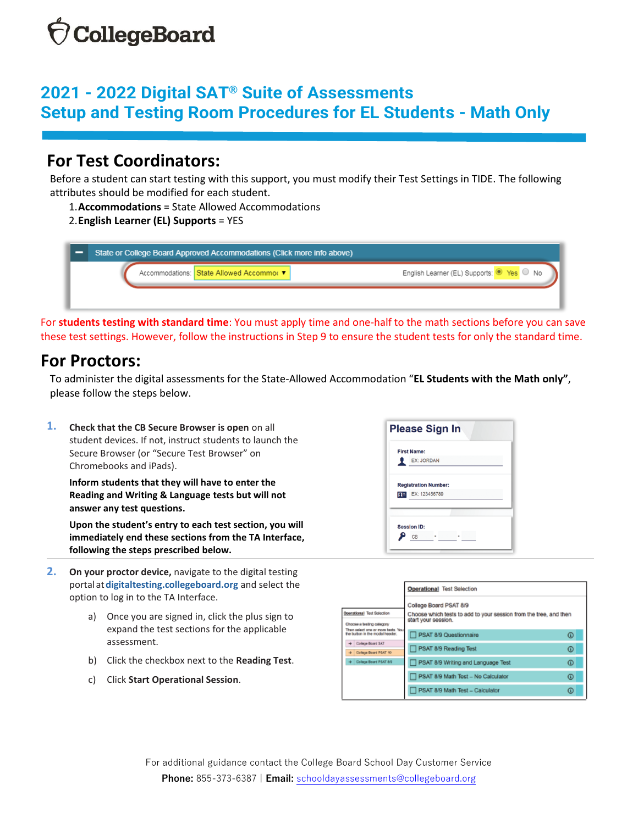## **CollegeBoard**

## **2021 - 2022 Digital SAT® Suite of Assessments Setup and Testing Room Procedures for EL Students - Math Only**

### **For Test Coordinators:**

Before a student can start testing with this support, you must modify their Test Settings in TIDE. The following attributes should be modified for each student.

1.**Accommodations** = State Allowed Accommodations

### 2.**English Learner (EL) Supports** = YES

| State or College Board Approved Accommodations (Click more info above) |                                         |                                           |
|------------------------------------------------------------------------|-----------------------------------------|-------------------------------------------|
|                                                                        | Accommodations: State Allowed Accommo v | English Learner (EL) Supports: O Yes O No |
|                                                                        |                                         |                                           |

For **students testing with standard time**: You must apply time and one-half to the math sections before you can save these test settings. However, follow the instructions in Step 9 to ensure the student tests for only the standard time.

### **For Proctors:**

To administer the digital assessments for the State-Allowed Accommodation "**EL Students with the Math only"**, please follow the steps below.

**1. Check that the CB Secure Browser is open** on all student devices. If not, instruct students to launch the Secure Browser (or "Secure Test Browser" on Chromebooks and iPads).

**Inform students that they will have to enter the Reading and Writing & Language tests but will not answer any test questions.** 

**Upon the student's entry to each test section, you will immediately end these sections from the TA Interface, following the steps prescribed below.**

- **2. On your proctor device,** navigate to the digital testing portalat**[digitaltesting.collegeboard.org](http://digitaltesting.collegeboard.org/)** and select the option to log in to the TA Interface.
	- a) Once you are signed in, click the plus sign to expand the test sections for the applicable assessment.
	- b) Click the checkbox next to the **Reading Test**.
	- c) Click **Start Operational Session**.



|                                                                       | <b>Operational Test Selection</b>                                                                                  |            |  |
|-----------------------------------------------------------------------|--------------------------------------------------------------------------------------------------------------------|------------|--|
| Operational Test Selection                                            | College Board PSAT 8/9<br>Choose which tests to add to your session from the tree, and then<br>start your session. |            |  |
| Choose a testing calegory                                             |                                                                                                                    |            |  |
| Then select one or more tests. You<br>the tutton in the modal header. | PSAT 8/9 Questionnaire                                                                                             | ⊕          |  |
| + Collage Board SAT<br>+ College Board PSAT 10                        | PSAT 8/9 Reading Test                                                                                              | ⊕          |  |
| College Board PSAT 8/9                                                | PSAT 8/9 Writing and Language Test                                                                                 | ⊕          |  |
|                                                                       | PSAT 8/9 Math Test - No Calculator                                                                                 | $^{\circ}$ |  |
|                                                                       | PSAT 8/9 Math Test - Calculator                                                                                    | ⊕          |  |